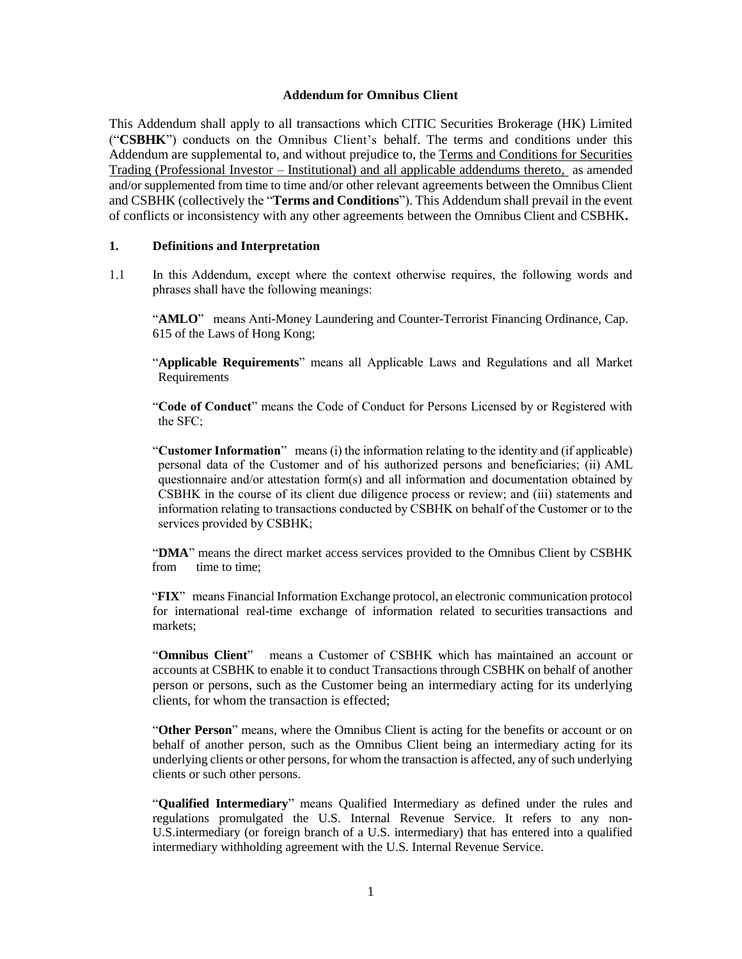#### **Addendum for Omnibus Client**

This Addendum shall apply to all transactions which CITIC Securities Brokerage (HK) Limited ("**CSBHK**") conducts on the Omnibus Client's behalf. The terms and conditions under this Addendum are supplemental to, and without prejudice to, the Terms and Conditions for Securities Trading (Professional Investor – Institutional) and all applicable addendums thereto, as amended and/or supplemented from time to time and/or other relevant agreements between the Omnibus Client and CSBHK (collectively the "**Terms and Conditions**"). This Addendum shall prevail in the event of conflicts or inconsistency with any other agreements between the Omnibus Client and CSBHK**.**

#### **1. Definitions and Interpretation**

1.1 In this Addendum, except where the context otherwise requires, the following words and phrases shall have the following meanings:

"AMLO" means Anti-Money Laundering and Counter-Terrorist Financing Ordinance, Cap. 615 of the Laws of Hong Kong;

"**Applicable Requirements**" means all Applicable Laws and Regulations and all Market Requirements

"**Code of Conduct**" means the Code of Conduct for Persons Licensed by or Registered with the SFC;

"**Customer Information**" means (i) the information relating to the identity and (if applicable) personal data of the Customer and of his authorized persons and beneficiaries; (ii) AML questionnaire and/or attestation form(s) and all information and documentation obtained by CSBHK in the course of its client due diligence process or review; and (iii) statements and information relating to transactions conducted by CSBHK on behalf of the Customer or to the services provided by CSBHK;

"**DMA**" means the direct market access services provided to the Omnibus Client by CSBHK from time to time:

"**FIX**" means Financial Information Exchange protocol, an electronic [communication protocol](https://en.wikipedia.org/wiki/Communications_protocol) for international real-time exchange of information related to [securities](https://en.wikipedia.org/wiki/Security_(finance)) transactions and markets;

"**Omnibus Client**" means a Customer of CSBHK which has maintained an account or accounts at CSBHK to enable it to conduct Transactions through CSBHK on behalf of another person or persons, such as the Customer being an intermediary acting for its underlying clients, for whom the transaction is effected;

"**Other Person**" means, where the Omnibus Client is acting for the benefits or account or on behalf of another person, such as the Omnibus Client being an intermediary acting for its underlying clients or other persons, for whom the transaction is affected, any of such underlying clients or such other persons.

"**Qualified Intermediary**" means Qualified Intermediary as defined under the rules and regulations promulgated the U.S. Internal Revenue Service. It refers to any non-U.S.intermediary (or foreign branch of a U.S. intermediary) that has entered into a qualified intermediary withholding agreement with the U.S. Internal Revenue Service.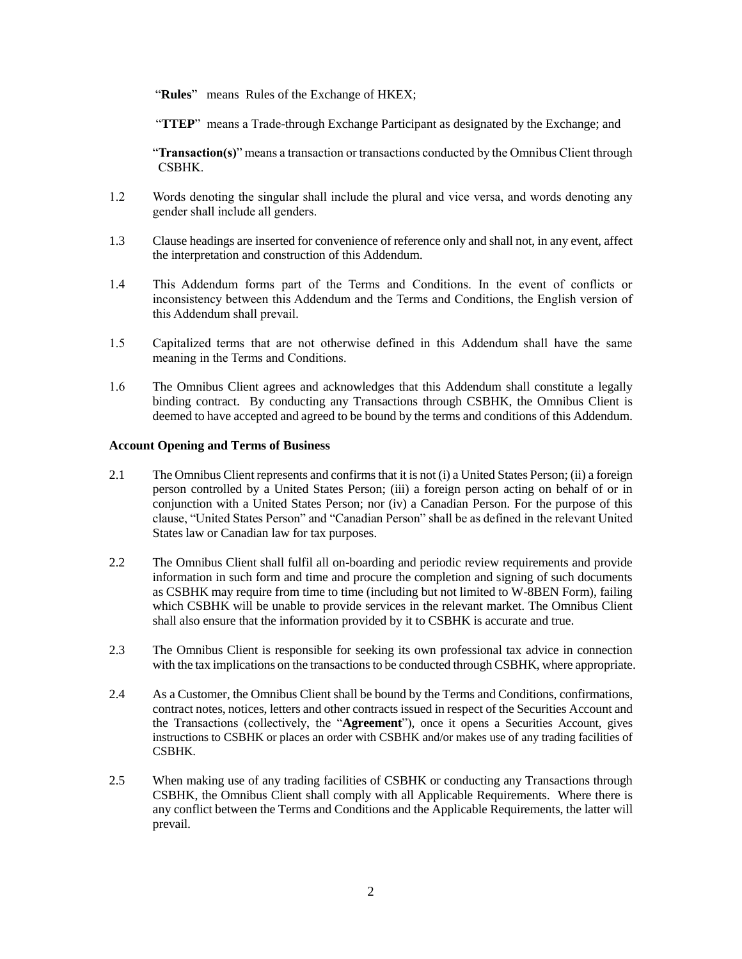"**Rules**" means Rules of the Exchange of HKEX;

"**TTEP**" means a Trade-through Exchange Participant as designated by the Exchange; and

"**Transaction(s)**" means a transaction or transactions conducted by the Omnibus Client through CSBHK.

- 1.2 Words denoting the singular shall include the plural and vice versa, and words denoting any gender shall include all genders.
- 1.3 Clause headings are inserted for convenience of reference only and shall not, in any event, affect the interpretation and construction of this Addendum.
- 1.4 This Addendum forms part of the Terms and Conditions. In the event of conflicts or inconsistency between this Addendum and the Terms and Conditions, the English version of this Addendum shall prevail.
- 1.5 Capitalized terms that are not otherwise defined in this Addendum shall have the same meaning in the Terms and Conditions.
- 1.6 The Omnibus Client agrees and acknowledges that this Addendum shall constitute a legally binding contract. By conducting any Transactions through CSBHK, the Omnibus Client is deemed to have accepted and agreed to be bound by the terms and conditions of this Addendum.

### **Account Opening and Terms of Business**

- 2.1 The Omnibus Client represents and confirms that it is not (i) a United States Person; (ii) a foreign person controlled by a United States Person; (iii) a foreign person acting on behalf of or in conjunction with a United States Person; nor (iv) a Canadian Person. For the purpose of this clause, "United States Person" and "Canadian Person" shall be as defined in the relevant United States law or Canadian law for tax purposes.
- 2.2 The Omnibus Client shall fulfil all on-boarding and periodic review requirements and provide information in such form and time and procure the completion and signing of such documents as CSBHK may require from time to time (including but not limited to W-8BEN Form), failing which CSBHK will be unable to provide services in the relevant market. The Omnibus Client shall also ensure that the information provided by it to CSBHK is accurate and true.
- 2.3 The Omnibus Client is responsible for seeking its own professional tax advice in connection with the tax implications on the transactions to be conducted through CSBHK, where appropriate.
- 2.4 As a Customer, the Omnibus Client shall be bound by the Terms and Conditions, confirmations, contract notes, notices, letters and other contracts issued in respect of the Securities Account and the Transactions (collectively, the "**Agreement**"), once it opens a Securities Account, gives instructions to CSBHK or places an order with CSBHK and/or makes use of any trading facilities of CSBHK.
- 2.5 When making use of any trading facilities of CSBHK or conducting any Transactions through CSBHK, the Omnibus Client shall comply with all Applicable Requirements. Where there is any conflict between the Terms and Conditions and the Applicable Requirements, the latter will prevail.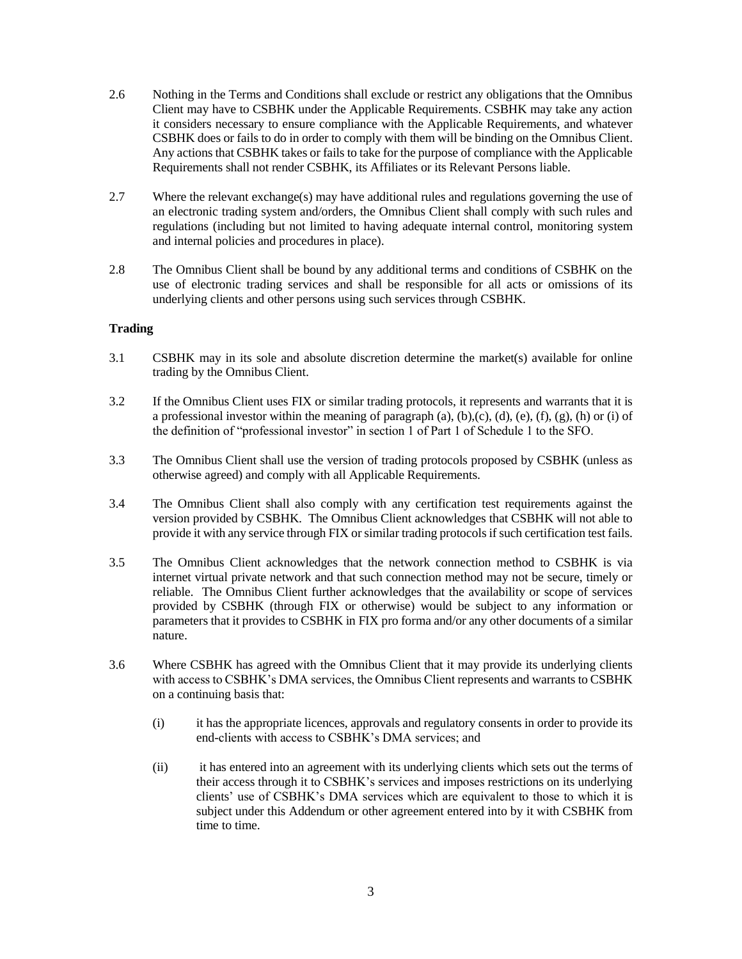- 2.6 Nothing in the Terms and Conditions shall exclude or restrict any obligations that the Omnibus Client may have to CSBHK under the Applicable Requirements. CSBHK may take any action it considers necessary to ensure compliance with the Applicable Requirements, and whatever CSBHK does or fails to do in order to comply with them will be binding on the Omnibus Client. Any actions that CSBHK takes or fails to take for the purpose of compliance with the Applicable Requirements shall not render CSBHK, its Affiliates or its Relevant Persons liable.
- 2.7 Where the relevant exchange(s) may have additional rules and regulations governing the use of an electronic trading system and/orders, the Omnibus Client shall comply with such rules and regulations (including but not limited to having adequate internal control, monitoring system and internal policies and procedures in place).
- 2.8 The Omnibus Client shall be bound by any additional terms and conditions of CSBHK on the use of electronic trading services and shall be responsible for all acts or omissions of its underlying clients and other persons using such services through CSBHK.

# **Trading**

- 3.1 CSBHK may in its sole and absolute discretion determine the market(s) available for online trading by the Omnibus Client.
- 3.2 If the Omnibus Client uses FIX or similar trading protocols, it represents and warrants that it is a professional investor within the meaning of paragraph (a),  $(b)$ , $(c)$ ,  $(d)$ ,  $(e)$ ,  $(f)$ ,  $(g)$ ,  $(h)$  or  $(i)$  of the definition of "professional investor" in section 1 of Part 1 of Schedule 1 to the SFO.
- 3.3 The Omnibus Client shall use the version of trading protocols proposed by CSBHK (unless as otherwise agreed) and comply with all Applicable Requirements.
- 3.4 The Omnibus Client shall also comply with any certification test requirements against the version provided by CSBHK. The Omnibus Client acknowledges that CSBHK will not able to provide it with any service through FIX or similar trading protocols if such certification test fails.
- 3.5 The Omnibus Client acknowledges that the network connection method to CSBHK is via internet virtual private network and that such connection method may not be secure, timely or reliable. The Omnibus Client further acknowledges that the availability or scope of services provided by CSBHK (through FIX or otherwise) would be subject to any information or parameters that it provides to CSBHK in FIX pro forma and/or any other documents of a similar nature.
- 3.6 Where CSBHK has agreed with the Omnibus Client that it may provide its underlying clients with access to CSBHK's DMA services, the Omnibus Client represents and warrants to CSBHK on a continuing basis that:
	- (i) it has the appropriate licences, approvals and regulatory consents in order to provide its end-clients with access to CSBHK's DMA services; and
	- (ii) it has entered into an agreement with its underlying clients which sets out the terms of their access through it to CSBHK's services and imposes restrictions on its underlying clients' use of CSBHK's DMA services which are equivalent to those to which it is subject under this Addendum or other agreement entered into by it with CSBHK from time to time.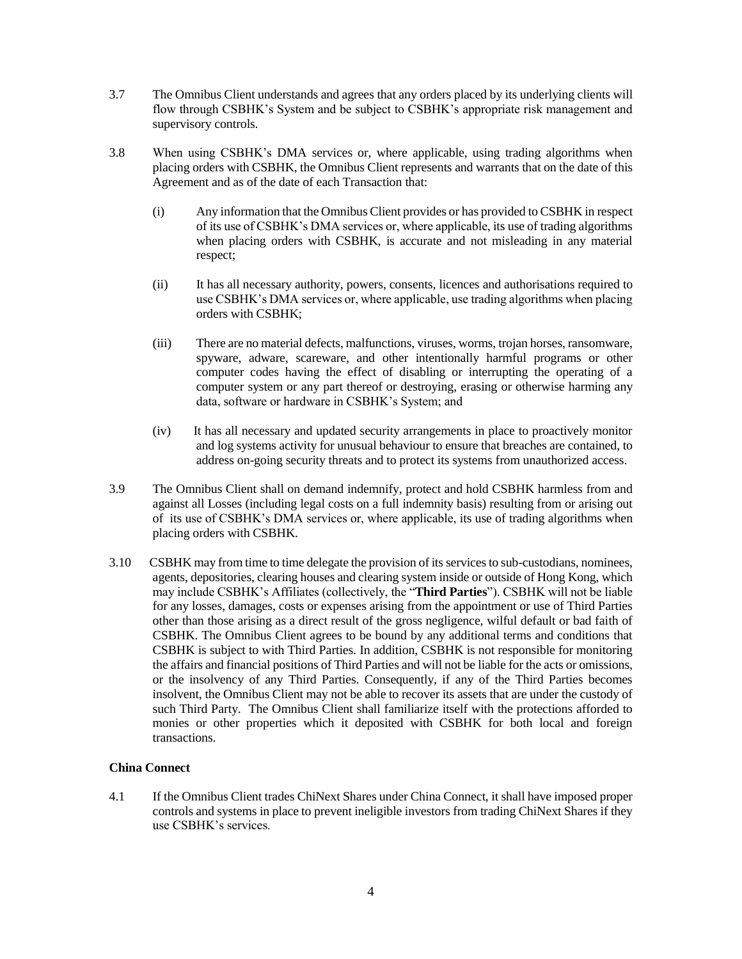- 3.7 The Omnibus Client understands and agrees that any orders placed by its underlying clients will flow through CSBHK's System and be subject to CSBHK's appropriate risk management and supervisory controls.
- 3.8 When using CSBHK's DMA services or, where applicable, using trading algorithms when placing orders with CSBHK, the Omnibus Client represents and warrants that on the date of this Agreement and as of the date of each Transaction that:
	- (i) Any information that the Omnibus Client provides or has provided to CSBHK in respect of its use of CSBHK's DMA services or, where applicable, its use of trading algorithms when placing orders with CSBHK, is accurate and not misleading in any material respect;
	- (ii) It has all necessary authority, powers, consents, licences and authorisations required to use CSBHK's DMA services or, where applicable, use trading algorithms when placing orders with CSBHK;
	- (iii) There are no material defects, malfunctions, viruses, worms, trojan horses, ransomware, spyware, adware, scareware, and other intentionally harmful programs or other computer codes having the effect of disabling or interrupting the operating of a computer system or any part thereof or destroying, erasing or otherwise harming any data, software or hardware in CSBHK's System; and
	- (iv) It has all necessary and updated security arrangements in place to proactively monitor and log systems activity for unusual behaviour to ensure that breaches are contained, to address on-going security threats and to protect its systems from unauthorized access.
- 3.9 The Omnibus Client shall on demand indemnify, protect and hold CSBHK harmless from and against all Losses (including legal costs on a full indemnity basis) resulting from or arising out of its use of CSBHK's DMA services or, where applicable, its use of trading algorithms when placing orders with CSBHK.
- 3.10 CSBHK may from time to time delegate the provision of its services to sub-custodians, nominees, agents, depositories, clearing houses and clearing system inside or outside of Hong Kong, which may include CSBHK's Affiliates (collectively, the "**Third Parties**"). CSBHK will not be liable for any losses, damages, costs or expenses arising from the appointment or use of Third Parties other than those arising as a direct result of the gross negligence, wilful default or bad faith of CSBHK. The Omnibus Client agrees to be bound by any additional terms and conditions that CSBHK is subject to with Third Parties. In addition, CSBHK is not responsible for monitoring the affairs and financial positions of Third Parties and will not be liable for the acts or omissions, or the insolvency of any Third Parties. Consequently, if any of the Third Parties becomes insolvent, the Omnibus Client may not be able to recover its assets that are under the custody of such Third Party. The Omnibus Client shall familiarize itself with the protections afforded to monies or other properties which it deposited with CSBHK for both local and foreign transactions.

# **China Connect**

4.1 If the Omnibus Client trades ChiNext Shares under China Connect, it shall have imposed proper controls and systems in place to prevent ineligible investors from trading ChiNext Shares if they use CSBHK's services.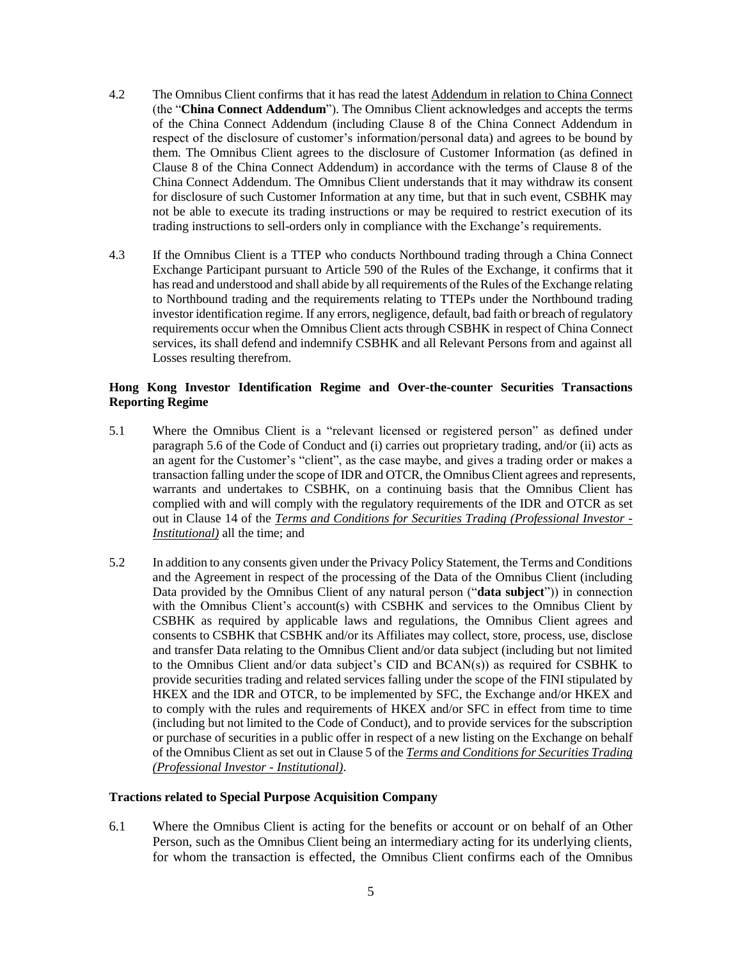- 4.2 The Omnibus Client confirms that it has read the latest Addendum in relation to China Connect (the "**China Connect Addendum**"). The Omnibus Client acknowledges and accepts the terms of the China Connect Addendum (including Clause 8 of the China Connect Addendum in respect of the disclosure of customer's information/personal data) and agrees to be bound by them. The Omnibus Client agrees to the disclosure of Customer Information (as defined in Clause 8 of the China Connect Addendum) in accordance with the terms of Clause 8 of the China Connect Addendum. The Omnibus Client understands that it may withdraw its consent for disclosure of such Customer Information at any time, but that in such event, CSBHK may not be able to execute its trading instructions or may be required to restrict execution of its trading instructions to sell-orders only in compliance with the Exchange's requirements.
- 4.3 If the Omnibus Client is a TTEP who conducts Northbound trading through a China Connect Exchange Participant pursuant to Article 590 of the Rules of the Exchange, it confirms that it hasread and understood and shall abide by all requirements of the Rules of the Exchange relating to Northbound trading and the requirements relating to TTEPs under the Northbound trading investor identification regime. If any errors, negligence, default, bad faith or breach of regulatory requirements occur when the Omnibus Client acts through CSBHK in respect of China Connect services, its shall defend and indemnify CSBHK and all Relevant Persons from and against all Losses resulting therefrom.

# **Hong Kong Investor Identification Regime and Over-the-counter Securities Transactions Reporting Regime**

- 5.1 Where the Omnibus Client is a "relevant licensed or registered person" as defined under paragraph 5.6 of the Code of Conduct and (i) carries out proprietary trading, and/or (ii) acts as an agent for the Customer's "client", as the case maybe, and gives a trading order or makes a transaction falling under the scope of IDR and OTCR, the Omnibus Client agrees and represents, warrants and undertakes to CSBHK, on a continuing basis that the Omnibus Client has complied with and will comply with the regulatory requirements of the IDR and OTCR as set out in Clause 14 of the *Terms and Conditions for Securities Trading (Professional Investor - Institutional)* all the time; and
- 5.2 In addition to any consents given under the Privacy Policy Statement, the Terms and Conditions and the Agreement in respect of the processing of the Data of the Omnibus Client (including Data provided by the Omnibus Client of any natural person ("**data subject**")) in connection with the Omnibus Client's account(s) with CSBHK and services to the Omnibus Client by CSBHK as required by applicable laws and regulations, the Omnibus Client agrees and consents to CSBHK that CSBHK and/or its Affiliates may collect, store, process, use, disclose and transfer Data relating to the Omnibus Client and/or data subject (including but not limited to the Omnibus Client and/or data subject's CID and BCAN(s)) as required for CSBHK to provide securities trading and related services falling under the scope of the FINI stipulated by HKEX and the IDR and OTCR, to be implemented by SFC, the Exchange and/or HKEX and to comply with the rules and requirements of HKEX and/or SFC in effect from time to time (including but not limited to the Code of Conduct), and to provide services for the subscription or purchase of securities in a public offer in respect of a new listing on the Exchange on behalf of the Omnibus Client as set out in Clause 5 of the *Terms and Conditions for Securities Trading (Professional Investor - Institutional)*.

### **Tractions related to Special Purpose Acquisition Company**

6.1 Where the Omnibus Client is acting for the benefits or account or on behalf of an Other Person, such as the Omnibus Client being an intermediary acting for its underlying clients, for whom the transaction is effected, the Omnibus Client confirms each of the Omnibus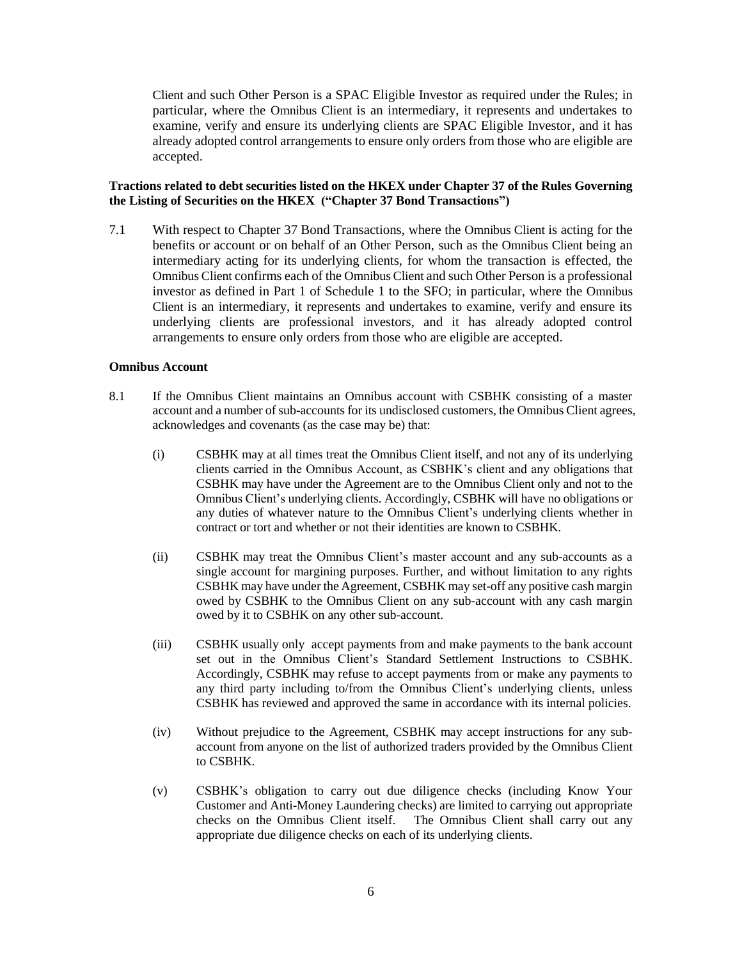Client and such Other Person is a SPAC Eligible Investor as required under the Rules; in particular, where the Omnibus Client is an intermediary, it represents and undertakes to examine, verify and ensure its underlying clients are SPAC Eligible Investor, and it has already adopted control arrangements to ensure only orders from those who are eligible are accepted.

# **Tractions related to debt securities listed on the HKEX under Chapter 37 of the Rules Governing the Listing of Securities on the HKEX ("Chapter 37 Bond Transactions")**

7.1 With respect to Chapter 37 Bond Transactions, where the Omnibus Client is acting for the benefits or account or on behalf of an Other Person, such as the Omnibus Client being an intermediary acting for its underlying clients, for whom the transaction is effected, the Omnibus Client confirms each of the Omnibus Client and such Other Person is a professional investor as defined in Part 1 of Schedule 1 to the SFO; in particular, where the Omnibus Client is an intermediary, it represents and undertakes to examine, verify and ensure its underlying clients are professional investors, and it has already adopted control arrangements to ensure only orders from those who are eligible are accepted.

# **Omnibus Account**

- 8.1 If the Omnibus Client maintains an Omnibus account with CSBHK consisting of a master account and a number of sub-accounts for its undisclosed customers, the Omnibus Client agrees, acknowledges and covenants (as the case may be) that:
	- (i) CSBHK may at all times treat the Omnibus Client itself, and not any of its underlying clients carried in the Omnibus Account, as CSBHK's client and any obligations that CSBHK may have under the Agreement are to the Omnibus Client only and not to the Omnibus Client's underlying clients. Accordingly, CSBHK will have no obligations or any duties of whatever nature to the Omnibus Client's underlying clients whether in contract or tort and whether or not their identities are known to CSBHK.
	- (ii) CSBHK may treat the Omnibus Client's master account and any sub-accounts as a single account for margining purposes. Further, and without limitation to any rights CSBHK may have under the Agreement, CSBHK may set-off any positive cash margin owed by CSBHK to the Omnibus Client on any sub-account with any cash margin owed by it to CSBHK on any other sub-account.
	- (iii) CSBHK usually only accept payments from and make payments to the bank account set out in the Omnibus Client's Standard Settlement Instructions to CSBHK. Accordingly, CSBHK may refuse to accept payments from or make any payments to any third party including to/from the Omnibus Client's underlying clients, unless CSBHK has reviewed and approved the same in accordance with its internal policies.
	- (iv) Without prejudice to the Agreement, CSBHK may accept instructions for any subaccount from anyone on the list of authorized traders provided by the Omnibus Client to CSBHK.
	- (v) CSBHK's obligation to carry out due diligence checks (including Know Your Customer and Anti-Money Laundering checks) are limited to carrying out appropriate checks on the Omnibus Client itself. The Omnibus Client shall carry out any appropriate due diligence checks on each of its underlying clients.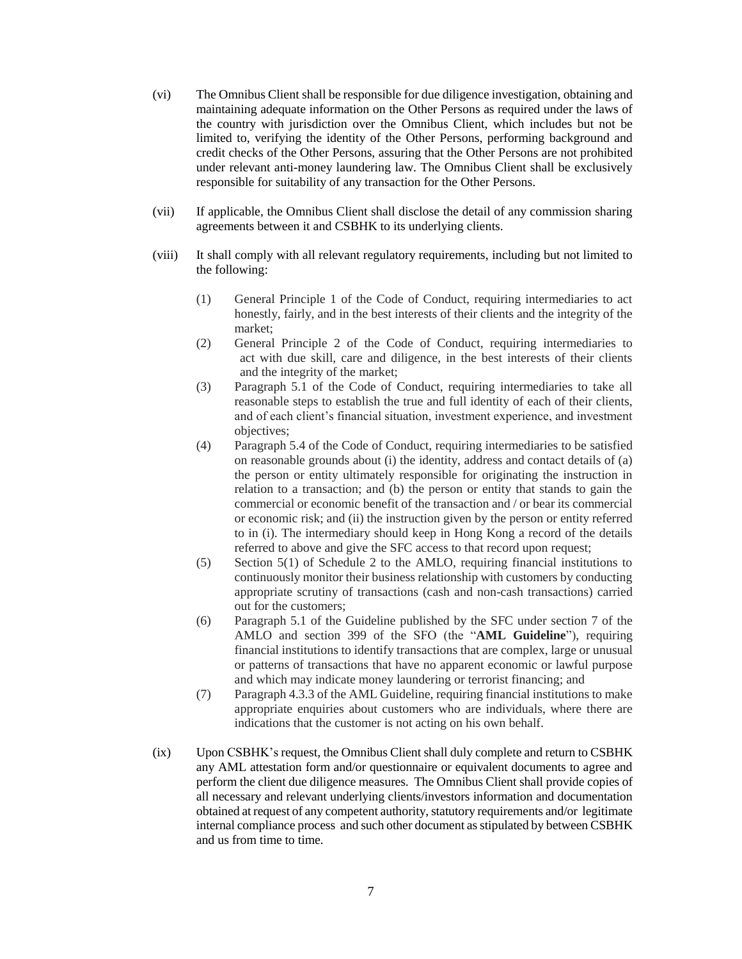- (vi) The Omnibus Client shall be responsible for due diligence investigation, obtaining and maintaining adequate information on the Other Persons as required under the laws of the country with jurisdiction over the Omnibus Client, which includes but not be limited to, verifying the identity of the Other Persons, performing background and credit checks of the Other Persons, assuring that the Other Persons are not prohibited under relevant anti-money laundering law. The Omnibus Client shall be exclusively responsible for suitability of any transaction for the Other Persons.
- (vii) If applicable, the Omnibus Client shall disclose the detail of any commission sharing agreements between it and CSBHK to its underlying clients.
- (viii) It shall comply with all relevant regulatory requirements, including but not limited to the following:
	- (1) General Principle 1 of the Code of Conduct, requiring intermediaries to act honestly, fairly, and in the best interests of their clients and the integrity of the market;
	- (2) General Principle 2 of the Code of Conduct, requiring intermediaries to act with due skill, care and diligence, in the best interests of their clients and the integrity of the market;
	- (3) Paragraph 5.1 of the Code of Conduct, requiring intermediaries to take all reasonable steps to establish the true and full identity of each of their clients, and of each client's financial situation, investment experience, and investment objectives;
	- (4) Paragraph 5.4 of the Code of Conduct, requiring intermediaries to be satisfied on reasonable grounds about (i) the identity, address and contact details of (a) the person or entity ultimately responsible for originating the instruction in relation to a transaction; and (b) the person or entity that stands to gain the commercial or economic benefit of the transaction and / or bear its commercial or economic risk; and (ii) the instruction given by the person or entity referred to in (i). The intermediary should keep in Hong Kong a record of the details referred to above and give the SFC access to that record upon request;
	- (5) Section 5(1) of Schedule 2 to the AMLO, requiring financial institutions to continuously monitor their business relationship with customers by conducting appropriate scrutiny of transactions (cash and non-cash transactions) carried out for the customers;
	- (6) Paragraph 5.1 of the Guideline published by the SFC under section 7 of the AMLO and section 399 of the SFO (the "**AML Guideline**"), requiring financial institutions to identify transactions that are complex, large or unusual or patterns of transactions that have no apparent economic or lawful purpose and which may indicate money laundering or terrorist financing; and
	- (7) Paragraph 4.3.3 of the AML Guideline, requiring financial institutions to make appropriate enquiries about customers who are individuals, where there are indications that the customer is not acting on his own behalf.
- (ix) Upon CSBHK's request, the Omnibus Client shall duly complete and return to CSBHK any AML attestation form and/or questionnaire or equivalent documents to agree and perform the client due diligence measures. The Omnibus Client shall provide copies of all necessary and relevant underlying clients/investors information and documentation obtained at request of any competent authority, statutory requirements and/or legitimate internal compliance process and such other document as stipulated by between CSBHK and us from time to time.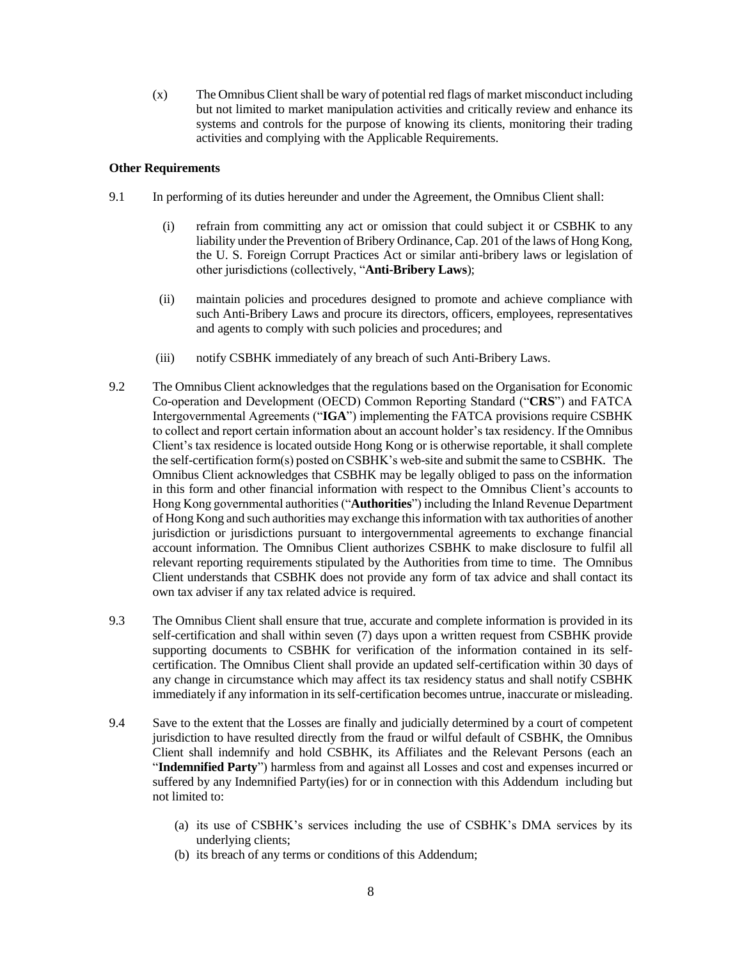$(x)$  The Omnibus Client shall be wary of potential red flags of market misconduct including but not limited to market manipulation activities and critically review and enhance its systems and controls for the purpose of knowing its clients, monitoring their trading activities and complying with the Applicable Requirements.

## **Other Requirements**

- 9.1 In performing of its duties hereunder and under the Agreement, the Omnibus Client shall:
	- (i) refrain from committing any act or omission that could subject it or CSBHK to any liability under the Prevention of Bribery Ordinance, Cap. 201 of the laws of Hong Kong, the U. S. Foreign Corrupt Practices Act or similar anti-bribery laws or legislation of other jurisdictions (collectively, "**Anti-Bribery Laws**);
	- (ii) maintain policies and procedures designed to promote and achieve compliance with such Anti-Bribery Laws and procure its directors, officers, employees, representatives and agents to comply with such policies and procedures; and
	- (iii) notify CSBHK immediately of any breach of such Anti-Bribery Laws.
- 9.2 The Omnibus Client acknowledges that the regulations based on the Organisation for Economic Co-operation and Development (OECD) Common Reporting Standard ("**CRS**") and FATCA Intergovernmental Agreements ("**IGA**") implementing the FATCA provisions require CSBHK to collect and report certain information about an account holder's tax residency. If the Omnibus Client's tax residence is located outside Hong Kong or is otherwise reportable, it shall complete the self-certification form(s) posted on CSBHK's web-site and submit the same to CSBHK. The Omnibus Client acknowledges that CSBHK may be legally obliged to pass on the information in this form and other financial information with respect to the Omnibus Client's accounts to Hong Kong governmental authorities ("**Authorities**") including the Inland Revenue Department of Hong Kong and such authorities may exchange this information with tax authorities of another jurisdiction or jurisdictions pursuant to intergovernmental agreements to exchange financial account information. The Omnibus Client authorizes CSBHK to make disclosure to fulfil all relevant reporting requirements stipulated by the Authorities from time to time. The Omnibus Client understands that CSBHK does not provide any form of tax advice and shall contact its own tax adviser if any tax related advice is required.
- 9.3 The Omnibus Client shall ensure that true, accurate and complete information is provided in its self-certification and shall within seven (7) days upon a written request from CSBHK provide supporting documents to CSBHK for verification of the information contained in its selfcertification. The Omnibus Client shall provide an updated self-certification within 30 days of any change in circumstance which may affect its tax residency status and shall notify CSBHK immediately if any information in itsself-certification becomes untrue, inaccurate or misleading.
- 9.4 Save to the extent that the Losses are finally and judicially determined by a court of competent jurisdiction to have resulted directly from the fraud or wilful default of CSBHK, the Omnibus Client shall indemnify and hold CSBHK, its Affiliates and the Relevant Persons (each an "**Indemnified Party**") harmless from and against all Losses and cost and expenses incurred or suffered by any Indemnified Party(ies) for or in connection with this Addendum including but not limited to:
	- (a) its use of CSBHK's services including the use of CSBHK's DMA services by its underlying clients;
	- (b) its breach of any terms or conditions of this Addendum;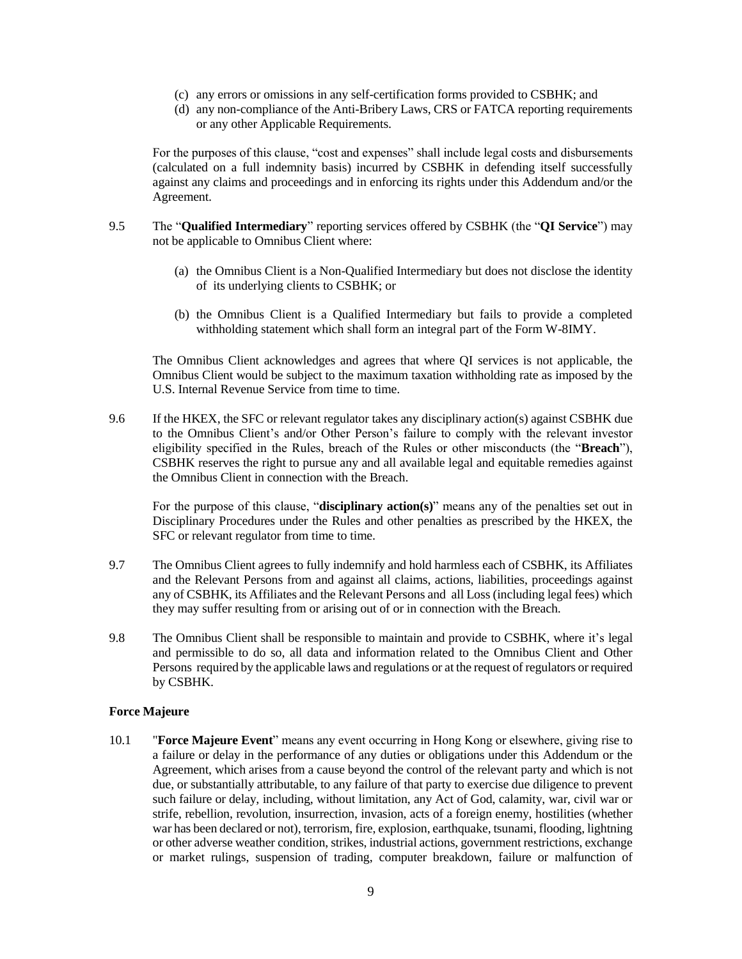- (c) any errors or omissions in any self-certification forms provided to CSBHK; and
- (d) any non-compliance of the Anti-Bribery Laws, CRS or FATCA reporting requirements or any other Applicable Requirements.

For the purposes of this clause, "cost and expenses" shall include legal costs and disbursements (calculated on a full indemnity basis) incurred by CSBHK in defending itself successfully against any claims and proceedings and in enforcing its rights under this Addendum and/or the Agreement.

- 9.5 The "**Qualified Intermediary**" reporting services offered by CSBHK (the "**QI Service**") may not be applicable to Omnibus Client where:
	- (a) the Omnibus Client is a Non-Qualified Intermediary but does not disclose the identity of its underlying clients to CSBHK; or
	- (b) the Omnibus Client is a Qualified Intermediary but fails to provide a completed withholding statement which shall form an integral part of the Form W-8IMY.

The Omnibus Client acknowledges and agrees that where QI services is not applicable, the Omnibus Client would be subject to the maximum taxation withholding rate as imposed by the U.S. Internal Revenue Service from time to time.

9.6 If the HKEX, the SFC or relevant regulator takes any disciplinary action(s) against CSBHK due to the Omnibus Client's and/or Other Person's failure to comply with the relevant investor eligibility specified in the Rules, breach of the Rules or other misconducts (the "**Breach**"), CSBHK reserves the right to pursue any and all available legal and equitable remedies against the Omnibus Client in connection with the Breach.

For the purpose of this clause, "**disciplinary action(s)**" means any of the penalties set out in Disciplinary Procedures under the Rules and other penalties as prescribed by the HKEX, the SFC or relevant regulator from time to time.

- 9.7 The Omnibus Client agrees to fully indemnify and hold harmless each of CSBHK, its Affiliates and the Relevant Persons from and against all claims, actions, liabilities, proceedings against any of CSBHK, its Affiliates and the Relevant Persons and all Loss (including legal fees) which they may suffer resulting from or arising out of or in connection with the Breach.
- 9.8 The Omnibus Client shall be responsible to maintain and provide to CSBHK, where it's legal and permissible to do so, all data and information related to the Omnibus Client and Other Persons required by the applicable laws and regulations or at the request of regulators or required by CSBHK.

#### **Force Majeure**

10.1 "**Force Majeure Event**" means any event occurring in Hong Kong or elsewhere, giving rise to a failure or delay in the performance of any duties or obligations under this Addendum or the Agreement, which arises from a cause beyond the control of the relevant party and which is not due, or substantially attributable, to any failure of that party to exercise due diligence to prevent such failure or delay, including, without limitation, any Act of God, calamity, war, civil war or strife, rebellion, revolution, insurrection, invasion, acts of a foreign enemy, hostilities (whether war has been declared or not), terrorism, fire, explosion, earthquake, tsunami, flooding, lightning or other adverse weather condition, strikes, industrial actions, government restrictions, exchange or market rulings, suspension of trading, computer breakdown, failure or malfunction of